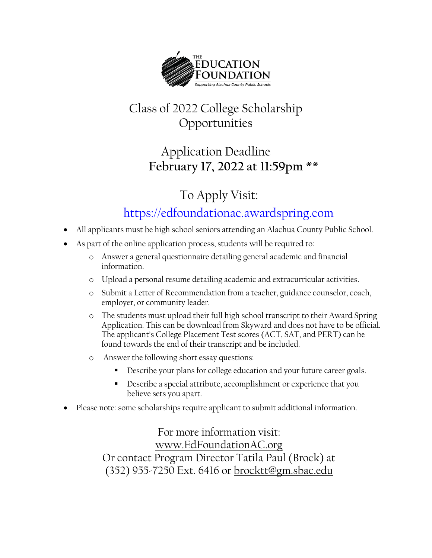

# Class of 2022 College Scholarship Opportunities

### Application Deadline **February 17, 2022 at 11:59pm \*\***

# To Apply Visit:

#### [https://edfoundationac.awardspring.com](https://edfoundationac.awardspring.com/)

- All applicants must be high school seniors attending an Alachua County Public School.
- As part of the online application process, students will be required to:
	- o Answer a general questionnaire detailing general academic and financial information.
	- o Upload a personal resume detailing academic and extracurricular activities.
	- o Submit a Letter of Recommendation from a teacher, guidance counselor, coach, employer, or community leader.
	- o The students must upload their full high school transcript to their Award Spring Application. This can be download from Skyward and does not have to be official. The applicant's College Placement Test scores (ACT, SAT, and PERT) can be found towards the end of their transcript and be included.
	- o Answer the following short essay questions:
		- Describe your plans for college education and your future career goals.
		- Describe a special attribute, accomplishment or experience that you believe sets you apart.
- Please note: some scholarships require applicant to submit additional information.

For more information visit: [www.EdFoundationAC.org](http://www.edfoundationac.org/) Or contact Program Director Tatila Paul (Brock) at (352) 955-7250 Ext. 6416 or [brocktt@gm.sbac.edu](mailto:brocktt@gm.sbac.edu)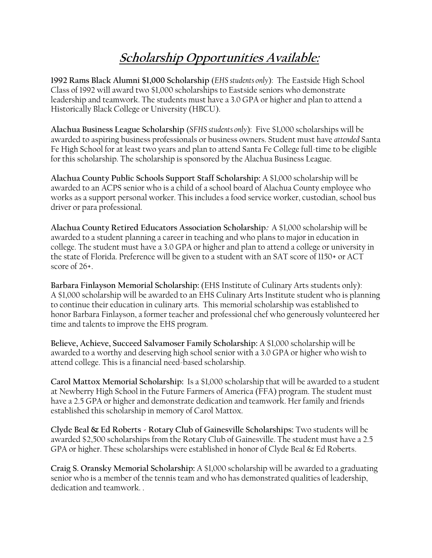# **Scholarship Opportunities Available:**

**1992 Rams Black Alumni \$1,000 Scholarship** (*EHS students only*): The Eastside High School Class of 1992 will award two \$1,000 scholarships to Eastside seniors who demonstrate leadership and teamwork. The students must have a 3.0 GPA or higher and plan to attend a Historically Black College or University (HBCU).

**Alachua Business League Scholarship** (*SFHS students only*): Five \$1,000 scholarships will be awarded to aspiring business professionals or business owners. Student must have *attended* Santa Fe High School for at least two years and plan to attend Santa Fe College full-time to be eligible for this scholarship. The scholarship is sponsored by the Alachua Business League.

**Alachua County Public Schools Support Staff Scholarship:** A \$1,000 scholarship will be awarded to an ACPS senior who is a child of a school board of Alachua County employee who works as a support personal worker. This includes a food service worker, custodian, school bus driver or para professional.

**Alachua County Retired Educators Association Scholarship:** A \$1,000 scholarship will be awarded to a student planning a career in teaching and who plans to major in education in college. The student must have a 3.0 GPA or higher and plan to attend a college or university in the state of Florida. Preference will be given to a student with an SAT score of 1150+ or ACT score of 26+.

**Barbara Finlayson Memorial Scholarship:** (EHS Institute of Culinary Arts students only): A \$1,000 scholarship will be awarded to an EHS Culinary Arts Institute student who is planning to continue their education in culinary arts. This memorial scholarship was established to honor Barbara Finlayson, a former teacher and professional chef who generously volunteered her time and talents to improve the EHS program.

**Believe, Achieve, Succeed Salvamoser Family Scholarship:** A \$1,000 scholarship will be awarded to a worthy and deserving high school senior with a 3.0 GPA or higher who wish to attend college. This is a financial need-based scholarship.

**Carol Mattox Memorial Scholarship:** Is a \$1,000 scholarship that will be awarded to a student at Newberry High School in the Future Farmers of America (FFA) program. The student must have a 2.5 GPA or higher and demonstrate dedication and teamwork. Her family and friends established this scholarship in memory of Carol Mattox.

**Clyde Beal & Ed Roberts - Rotary Club of Gainesville Scholarships:** Two students will be awarded \$2,500 scholarships from the Rotary Club of Gainesville. The student must have a 2.5 GPA or higher. These scholarships were established in honor of Clyde Beal & Ed Roberts.

**Craig S. Oransky Memorial Scholarship:** A \$1,000 scholarship will be awarded to a graduating senior who is a member of the tennis team and who has demonstrated qualities of leadership, dedication and teamwork. .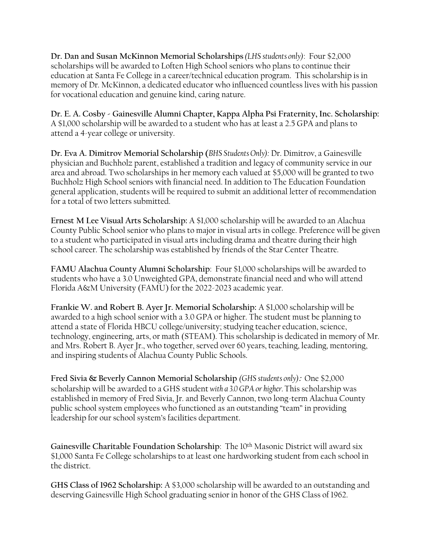**Dr. Dan and Susan McKinnon Memorial Scholarships** *(LHS students only)*: Four \$2,000 scholarships will be awarded to Loften High School seniors who plans to continue their education at Santa Fe College in a career/technical education program. This scholarship is in memory of Dr. McKinnon, a dedicated educator who influenced countless lives with his passion for vocational education and genuine kind, caring nature.

**Dr. E. A. Cosby - Gainesville Alumni Chapter, Kappa Alpha Psi Fraternity, Inc. Scholarship:**  A \$1,000 scholarship will be awarded to a student who has at least a 2.5 GPA and plans to attend a 4-year college or university.

**Dr. Eva A. Dimitrov Memorial Scholarship (***BHS Students Only):* Dr. Dimitrov, a Gainesville physician and Buchholz parent, established a tradition and legacy of community service in our area and abroad. Two scholarships in her memory each valued at \$5,000 will be granted to two Buchholz High School seniors with financial need. In addition to The Education Foundation general application, students will be required to submit an additional letter of recommendation for a total of two letters submitted.

**Ernest M Lee Visual Arts Scholarship:** A \$1,000 scholarship will be awarded to an Alachua County Public School senior who plans to major in visual arts in college. Preference will be given to a student who participated in visual arts including drama and theatre during their high school career. The scholarship was established by friends of the Star Center Theatre.

**FAMU Alachua County Alumni Scholarship**: Four \$1,000 scholarships will be awarded to students who have a 3.0 Unweighted GPA, demonstrate financial need and who will attend Florida A&M University (FAMU) for the 2022-2023 academic year.

**Frankie W. and Robert B. Ayer Jr. Memorial Scholarship:** A \$1,000 scholarship will be awarded to a high school senior with a 3.0 GPA or higher. The student must be planning to attend a state of Florida HBCU college/university; studying teacher education, science, technology, engineering, arts, or math (STEAM). This scholarship is dedicated in memory of Mr. and Mrs. Robert B. Ayer Jr., who together, served over 60 years, teaching, leading, mentoring, and inspiring students of Alachua County Public Schools.

**Fred Sivia & Beverly Cannon Memorial Scholarship** *(GHS students only)***:** One \$2,000 scholarship will be awarded to a GHS student *with a 3.0 GPA or higher.* This scholarship was established in memory of Fred Sivia, Jr. and Beverly Cannon, two long-term Alachua County public school system employees who functioned as an outstanding "team" in providing leadership for our school system's facilities department.

**Gainesville Charitable Foundation Scholarship**: The 10th Masonic District will award six \$1,000 Santa Fe College scholarships to at least one hardworking student from each school in the district.

**GHS Class of 1962 Scholarship:** A \$3,000 scholarship will be awarded to an outstanding and deserving Gainesville High School graduating senior in honor of the GHS Class of 1962.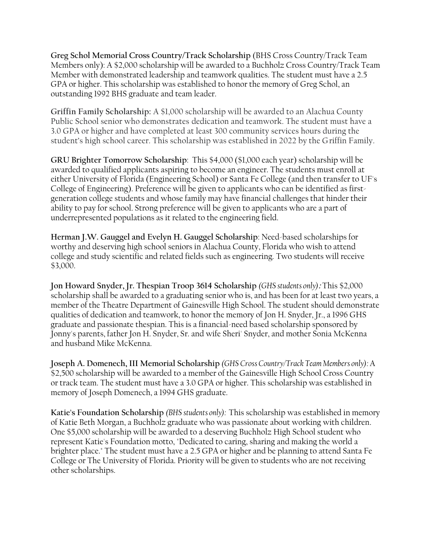**Greg Schol Memorial Cross Country/Track Scholarship** (BHS Cross Country/Track Team Members only): A \$2,000 scholarship will be awarded to a Buchholz Cross Country/Track Team Member with demonstrated leadership and teamwork qualities. The student must have a 2.5 GPA or higher. This scholarship was established to honor the memory of Greg Schol, an outstanding 1992 BHS graduate and team leader.

**Griffin Family Scholarship:** A \$1,000 scholarship will be awarded to an Alachua County Public School senior who demonstrates dedication and teamwork. The student must have a 3.0 GPA or higher and have completed at least 300 community services hours during the student's high school career. This scholarship was established in 2022 by the Griffin Family.

**GRU Brighter Tomorrow Scholarship**: This \$4,000 (\$1,000 each year) scholarship will be awarded to qualified applicants aspiring to become an engineer. The students must enroll at either University of Florida (Engineering School) or Santa Fe College (and then transfer to UF's College of Engineering). Preference will be given to applicants who can be identified as firstgeneration college students and whose family may have financial challenges that hinder their ability to pay for school. Strong preference will be given to applicants who are a part of underrepresented populations as it related to the engineering field.

**Herman J.W. Gauggel and Evelyn H. Gauggel Scholarship**: Need-based scholarships for worthy and deserving high school seniors in Alachua County, Florida who wish to attend college and study scientific and related fields such as engineering. Two students will receive \$3,000.

**Jon Howard Snyder, Jr. Thespian Troop 3614 Scholarship** *(GHS students only)***:** This \$2,000 scholarship shall be awarded to a graduating senior who is, and has been for at least two years, a member of the Theatre Department of Gainesville High School. The student should demonstrate qualities of dedication and teamwork, to honor the memory of Jon H. Snyder, Jr., a 1996 GHS graduate and passionate thespian. This is a financial-need based scholarship sponsored by Jonny's parents, father Jon H. Snyder, Sr. and wife Sheri' Snyder, and mother Sonia McKenna and husband Mike McKenna.

**Joseph A. Domenech, III Memorial Scholarship** *(GHS Cross Country/Track Team Members only):*A \$2,500 scholarship will be awarded to a member of the Gainesville High School Cross Country or track team. The student must have a 3.0 GPA or higher. This scholarship was established in memory of Joseph Domenech, a 1994 GHS graduate.

**Katie's Foundation Scholarship** *(BHS students only):* This scholarship was established in memory of Katie Beth Morgan, a Buchholz graduate who was passionate about working with children. One \$5,000 scholarship will be awarded to a deserving Buchholz High School student who represent Katie's Foundation motto, "Dedicated to caring, sharing and making the world a brighter place." The student must have a 2.5 GPA or higher and be planning to attend Santa Fe College or The University of Florida. Priority will be given to students who are not receiving other scholarships.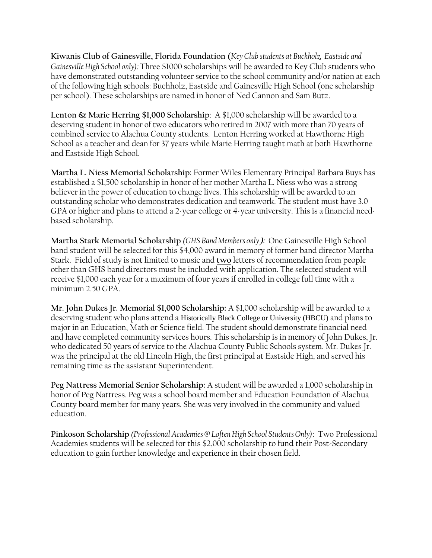**Kiwanis Club of Gainesville, Florida Foundation (***Key Club students at Buchholz, Eastside and Gainesville High School only):* Three \$1000 scholarships will be awarded to Key Club students who have demonstrated outstanding volunteer service to the school community and/or nation at each of the following high schools: Buchholz, Eastside and Gainesville High School (one scholarship per school). These scholarships are named in honor of Ned Cannon and Sam Butz.

**Lenton & Marie Herring \$1,000 Scholarship**: A \$1,000 scholarship will be awarded to a deserving student in honor of two educators who retired in 2007 with more than 70 years of combined service to Alachua County students. Lenton Herring worked at Hawthorne High School as a teacher and dean for 37 years while Marie Herring taught math at both Hawthorne and Eastside High School.

**Martha L. Niess Memorial Scholarship:** Former Wiles Elementary Principal Barbara Buys has established a \$1,500 scholarship in honor of her mother Martha L. Niess who was a strong believer in the power of education to change lives. This scholarship will be awarded to an outstanding scholar who demonstrates dedication and teamwork. The student must have 3.0 GPA or higher and plans to attend a 2-year college or 4-year university. This is a financial needbased scholarship.

**Martha Stark Memorial Scholarship** *(GHS Band Members only***):** One Gainesville High School band student will be selected for this \$4,000 award in memory of former band director Martha Stark. Field of study is not limited to music and **two** letters of recommendation from people other than GHS band directors must be included with application. The selected student will receive \$1,000 each year for a maximum of four years if enrolled in college full time with a minimum 2.50 GPA.

**Mr. John Dukes Jr. Memorial \$1,000 Scholarship:** A \$1,000 scholarship will be awarded to a deserving student who plans attend a Historically Black College or University (HBCU) and plans to major in an Education, Math or Science field. The student should demonstrate financial need and have completed community services hours. This scholarship is in memory of John Dukes, Jr. who dedicated 50 years of service to the Alachua County Public Schools system. Mr. Dukes Jr. was the principal at the old Lincoln High, the first principal at Eastside High, and served his remaining time as the assistant Superintendent.

**Peg Nattress Memorial Senior Scholarship:** A student will be awarded a 1,000 scholarship in honor of Peg Nattress. Peg was a school board member and Education Foundation of Alachua County board member for many years. She was very involved in the community and valued education.

**Pinkoson Scholarship** *(Professional Academies @ Loften High School Students Only)*: Two Professional Academies students will be selected for this \$2,000 scholarship to fund their Post-Secondary education to gain further knowledge and experience in their chosen field.